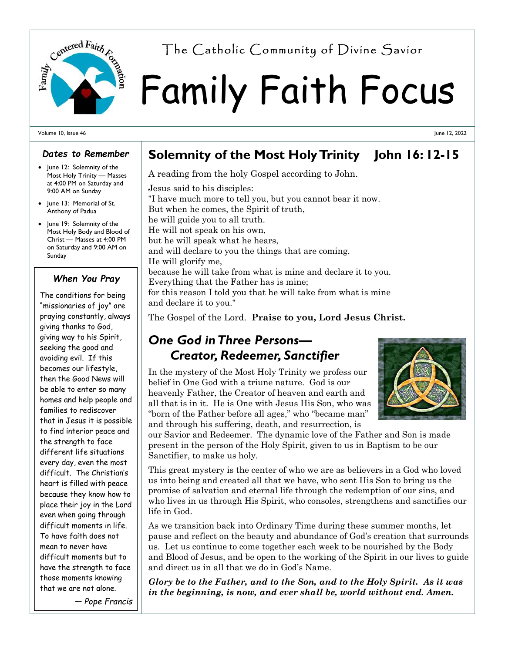

# Family Faith Focus Centered Fairth  $r_{\alpha}$  The Catholic Community of Divine Savior

Volume 10, Issue 46

#### *Dates to Remember*

- June 12: Solemnity of the Most Holy Trinity — Masses at 4:00 PM on Saturday and 9:00 AM on Sunday
- June 13: Memorial of St. Anthony of Padua
- June 19: Solemnity of the Most Holy Body and Blood of Christ — Masses at 4:00 PM on Saturday and 9:00 AM on Sunday

#### *When You Pray*

The conditions for being "missionaries of joy" are praying constantly, always giving thanks to God, giving way to his Spirit, seeking the good and avoiding evil. If this becomes our lifestyle, then the Good News will be able to enter so many homes and help people and families to rediscover that in Jesus it is possible to find interior peace and the strength to face different life situations every day, even the most difficult. The Christian's heart is filled with peace because they know how to place their joy in the Lord even when going through difficult moments in life. To have faith does not mean to never have difficult moments but to have the strength to face those moments knowing that we are not alone.

*— Pope Francis*

## **Solemnity of the Most Holy Trinity John 16: 12-15**

A reading from the holy Gospel according to John.

Jesus said to his disciples: "I have much more to tell you, but you cannot bear it now. But when he comes, the Spirit of truth, he will guide you to all truth. He will not speak on his own, but he will speak what he hears, and will declare to you the things that are coming. He will glorify me, because he will take from what is mine and declare it to you. Everything that the Father has is mine; for this reason I told you that he will take from what is mine and declare it to you."

The Gospel of the Lord. **Praise to you, Lord Jesus Christ.** 

### *One God in Three Persons— Creator, Redeemer, Sanctifier*

In the mystery of the Most Holy Trinity we profess our belief in One God with a triune nature. God is our heavenly Father, the Creator of heaven and earth and all that is in it. He is One with Jesus His Son, who was "born of the Father before all ages," who "became man" and through his suffering, death, and resurrection, is



our Savior and Redeemer. The dynamic love of the Father and Son is made present in the person of the Holy Spirit, given to us in Baptism to be our Sanctifier, to make us holy.

This great mystery is the center of who we are as believers in a God who loved us into being and created all that we have, who sent His Son to bring us the promise of salvation and eternal life through the redemption of our sins, and who lives in us through His Spirit, who consoles, strengthens and sanctifies our life in God.

As we transition back into Ordinary Time during these summer months, let pause and reflect on the beauty and abundance of God's creation that surrounds us. Let us continue to come together each week to be nourished by the Body and Blood of Jesus, and be open to the working of the Spirit in our lives to guide and direct us in all that we do in God's Name.

*Glory be to the Father, and to the Son, and to the Holy Spirit. As it was in the beginning, is now, and ever shall be, world without end. Amen.* 

June 12, 2022